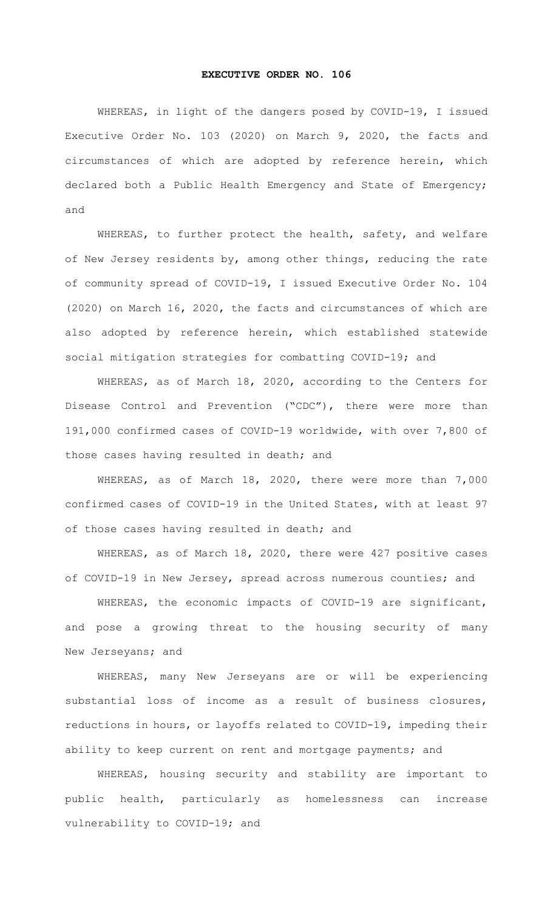## **EXECUTIVE ORDER NO. 106**

WHEREAS, in light of the dangers posed by COVID-19, I issued Executive Order No. 103 (2020) on March 9, 2020, the facts and circumstances of which are adopted by reference herein, which declared both a Public Health Emergency and State of Emergency; and

WHEREAS, to further protect the health, safety, and welfare of New Jersey residents by, among other things, reducing the rate of community spread of COVID-19, I issued Executive Order No. 104 (2020) on March 16, 2020, the facts and circumstances of which are also adopted by reference herein, which established statewide social mitigation strategies for combatting COVID-19; and

WHEREAS, as of March 18, 2020, according to the Centers for Disease Control and Prevention ("CDC"), there were more than 191,000 confirmed cases of COVID-19 worldwide, with over 7,800 of those cases having resulted in death; and

WHEREAS, as of March 18, 2020, there were more than 7,000 confirmed cases of COVID-19 in the United States, with at least 97 of those cases having resulted in death; and

WHEREAS, as of March 18, 2020, there were 427 positive cases of COVID-19 in New Jersey, spread across numerous counties; and

WHEREAS, the economic impacts of COVID-19 are significant, and pose a growing threat to the housing security of many New Jerseyans; and

WHEREAS, many New Jerseyans are or will be experiencing substantial loss of income as a result of business closures, reductions in hours, or layoffs related to COVID-19, impeding their ability to keep current on rent and mortgage payments; and

WHEREAS, housing security and stability are important to public health, particularly as homelessness can increase vulnerability to COVID-19; and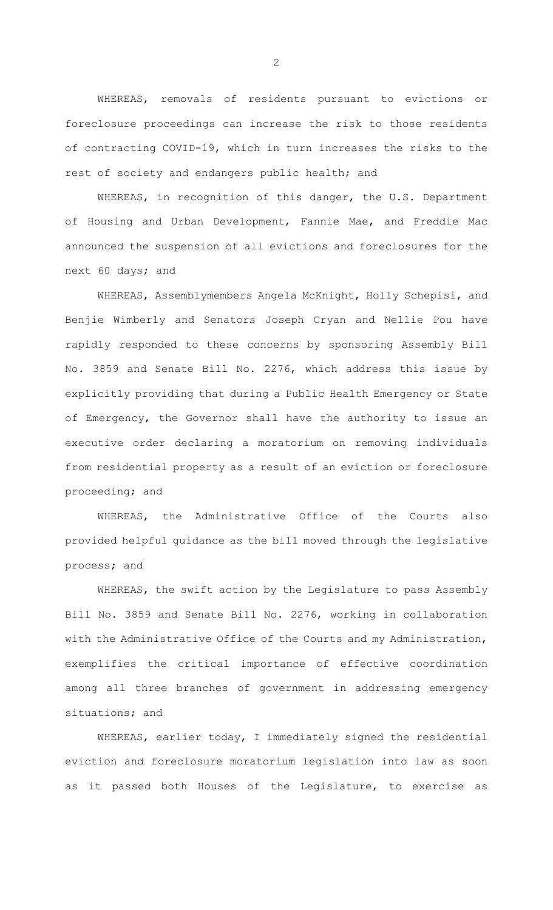WHEREAS, removals of residents pursuant to evictions or foreclosure proceedings can increase the risk to those residents of contracting COVID-19, which in turn increases the risks to the rest of society and endangers public health; and

WHEREAS, in recognition of this danger, the U.S. Department of Housing and Urban Development, Fannie Mae, and Freddie Mac announced the suspension of all evictions and foreclosures for the next 60 days; and

WHEREAS, Assemblymembers Angela McKnight, Holly Schepisi, and Benjie Wimberly and Senators Joseph Cryan and Nellie Pou have rapidly responded to these concerns by sponsoring Assembly Bill No. 3859 and Senate Bill No. 2276, which address this issue by explicitly providing that during a Public Health Emergency or State of Emergency, the Governor shall have the authority to issue an executive order declaring a moratorium on removing individuals from residential property as a result of an eviction or foreclosure proceeding; and

WHEREAS, the Administrative Office of the Courts also provided helpful guidance as the bill moved through the legislative process; and

WHEREAS, the swift action by the Legislature to pass Assembly Bill No. 3859 and Senate Bill No. 2276, working in collaboration with the Administrative Office of the Courts and my Administration, exemplifies the critical importance of effective coordination among all three branches of government in addressing emergency situations; and

WHEREAS, earlier today, I immediately signed the residential eviction and foreclosure moratorium legislation into law as soon as it passed both Houses of the Legislature, to exercise as

2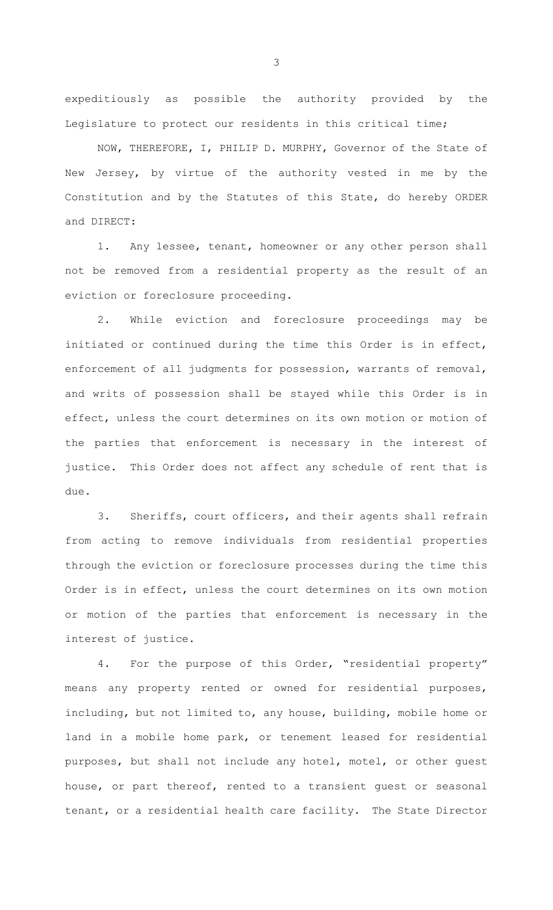expeditiously as possible the authority provided by the Legislature to protect our residents in this critical time;

NOW, THEREFORE, I, PHILIP D. MURPHY, Governor of the State of New Jersey, by virtue of the authority vested in me by the Constitution and by the Statutes of this State, do hereby ORDER and DIRECT:

1. Any lessee, tenant, homeowner or any other person shall not be removed from a residential property as the result of an eviction or foreclosure proceeding.

2. While eviction and foreclosure proceedings may be initiated or continued during the time this Order is in effect, enforcement of all judgments for possession, warrants of removal, and writs of possession shall be stayed while this Order is in effect, unless the court determines on its own motion or motion of the parties that enforcement is necessary in the interest of justice. This Order does not affect any schedule of rent that is due.

3. Sheriffs, court officers, and their agents shall refrain from acting to remove individuals from residential properties through the eviction or foreclosure processes during the time this Order is in effect, unless the court determines on its own motion or motion of the parties that enforcement is necessary in the interest of justice.

4. For the purpose of this Order, "residential property" means any property rented or owned for residential purposes, including, but not limited to, any house, building, mobile home or land in a mobile home park, or tenement leased for residential purposes, but shall not include any hotel, motel, or other guest house, or part thereof, rented to a transient guest or seasonal tenant, or a residential health care facility. The State Director

3